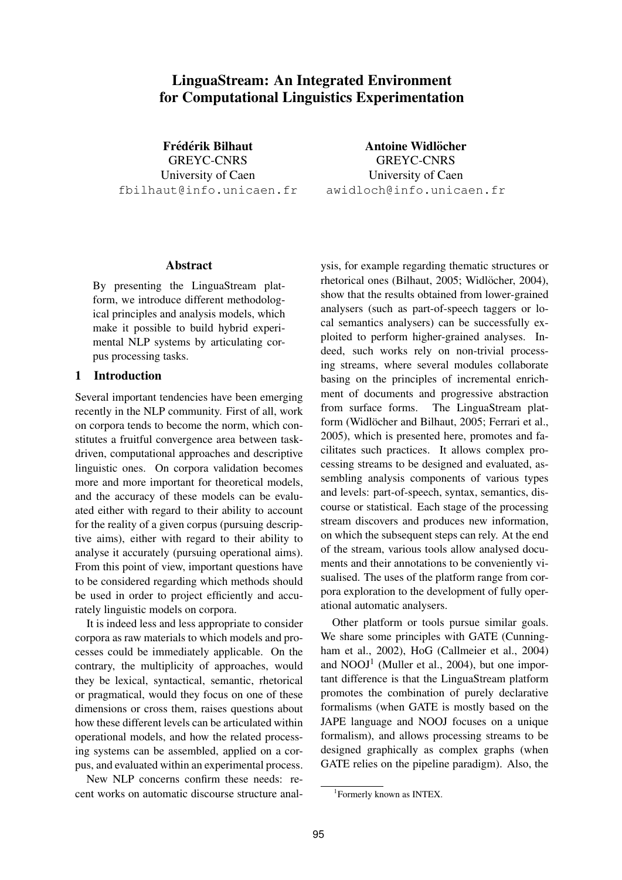# LinguaStream: An Integrated Environment for Computational Linguistics Experimentation

Frédérik Bilhaut GREYC-CNRS University of Caen fbilhaut@info.unicaen.fr

Antoine Widlöcher GREYC-CNRS University of Caen awidloch@info.unicaen.fr

#### Abstract

By presenting the LinguaStream platform, we introduce different methodological principles and analysis models, which make it possible to build hybrid experimental NLP systems by articulating corpus processing tasks.

# 1 Introduction

Several important tendencies have been emerging recently in the NLP community. First of all, work on corpora tends to become the norm, which constitutes a fruitful convergence area between taskdriven, computational approaches and descriptive linguistic ones. On corpora validation becomes more and more important for theoretical models, and the accuracy of these models can be evaluated either with regard to their ability to account for the reality of a given corpus (pursuing descriptive aims), either with regard to their ability to analyse it accurately (pursuing operational aims). From this point of view, important questions have to be considered regarding which methods should be used in order to project efficiently and accurately linguistic models on corpora.

It is indeed less and less appropriate to consider corpora as raw materials to which models and processes could be immediately applicable. On the contrary, the multiplicity of approaches, would they be lexical, syntactical, semantic, rhetorical or pragmatical, would they focus on one of these dimensions or cross them, raises questions about how these different levels can be articulated within operational models, and how the related processing systems can be assembled, applied on a corpus, and evaluated within an experimental process.

New NLP concerns confirm these needs: recent works on automatic discourse structure analysis, for example regarding thematic structures or rhetorical ones (Bilhaut, 2005; Widlöcher, 2004), show that the results obtained from lower-grained analysers (such as part-of-speech taggers or local semantics analysers) can be successfully exploited to perform higher-grained analyses. Indeed, such works rely on non-trivial processing streams, where several modules collaborate basing on the principles of incremental enrichment of documents and progressive abstraction from surface forms. The LinguaStream platform (Widlöcher and Bilhaut, 2005; Ferrari et al., 2005), which is presented here, promotes and facilitates such practices. It allows complex processing streams to be designed and evaluated, assembling analysis components of various types and levels: part-of-speech, syntax, semantics, discourse or statistical. Each stage of the processing stream discovers and produces new information, on which the subsequent steps can rely. At the end of the stream, various tools allow analysed documents and their annotations to be conveniently visualised. The uses of the platform range from corpora exploration to the development of fully operational automatic analysers.

Other platform or tools pursue similar goals. We share some principles with GATE (Cunningham et al., 2002), HoG (Callmeier et al., 2004) and NOOJ<sup>1</sup> (Muller et al., 2004), but one important difference is that the LinguaStream platform promotes the combination of purely declarative formalisms (when GATE is mostly based on the JAPE language and NOOJ focuses on a unique formalism), and allows processing streams to be designed graphically as complex graphs (when GATE relies on the pipeline paradigm). Also, the

<sup>1</sup> Formerly known as INTEX.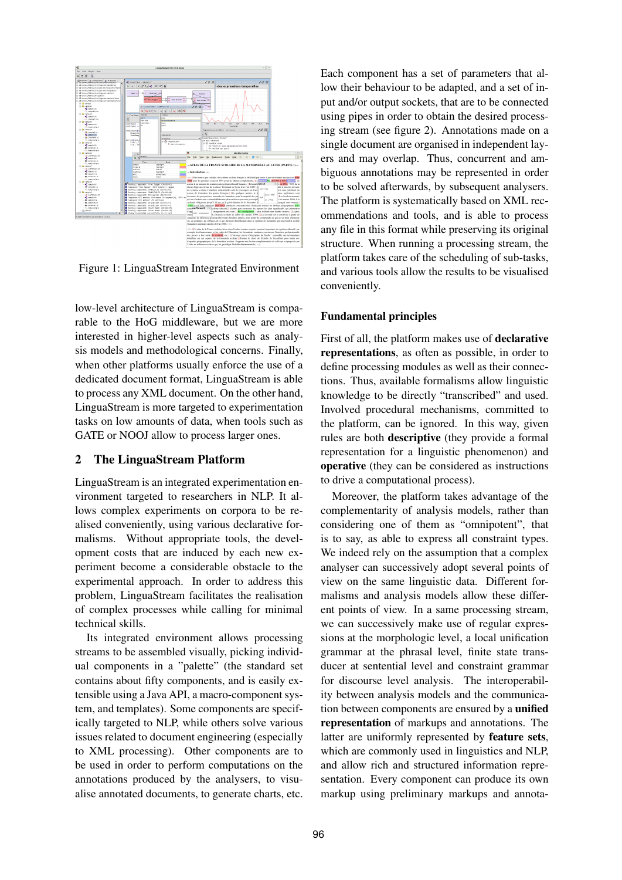

Figure 1: LinguaStream Integrated Environment

low-level architecture of LinguaStream is comparable to the HoG middleware, but we are more interested in higher-level aspects such as analysis models and methodological concerns. Finally, when other platforms usually enforce the use of a dedicated document format, LinguaStream is able to process any XML document. On the other hand, LinguaStream is more targeted to experimentation tasks on low amounts of data, when tools such as GATE or NOOJ allow to process larger ones.

### 2 The LinguaStream Platform

LinguaStream is an integrated experimentation environment targeted to researchers in NLP. It allows complex experiments on corpora to be realised conveniently, using various declarative formalisms. Without appropriate tools, the development costs that are induced by each new experiment become a considerable obstacle to the experimental approach. In order to address this problem, LinguaStream facilitates the realisation of complex processes while calling for minimal technical skills.

Its integrated environment allows processing streams to be assembled visually, picking individual components in a "palette" (the standard set contains about fifty components, and is easily extensible using a Java API, a macro-component system, and templates). Some components are specifically targeted to NLP, while others solve various issues related to document engineering (especially to XML processing). Other components are to be used in order to perform computations on the annotations produced by the analysers, to visualise annotated documents, to generate charts, etc. Each component has a set of parameters that allow their behaviour to be adapted, and a set of input and/or output sockets, that are to be connected using pipes in order to obtain the desired processing stream (see figure 2). Annotations made on a single document are organised in independent layers and may overlap. Thus, concurrent and ambiguous annotations may be represented in order to be solved afterwards, by subsequent analysers. The platform is systematically based on XML recommendations and tools, and is able to process any file in this format while preserving its original structure. When running a processing stream, the platform takes care of the scheduling of sub-tasks, and various tools allow the results to be visualised conveniently.

### Fundamental principles

First of all, the platform makes use of declarative representations, as often as possible, in order to define processing modules as well as their connections. Thus, available formalisms allow linguistic knowledge to be directly "transcribed" and used. Involved procedural mechanisms, committed to the platform, can be ignored. In this way, given rules are both descriptive (they provide a formal representation for a linguistic phenomenon) and operative (they can be considered as instructions to drive a computational process).

Moreover, the platform takes advantage of the complementarity of analysis models, rather than considering one of them as "omnipotent", that is to say, as able to express all constraint types. We indeed rely on the assumption that a complex analyser can successively adopt several points of view on the same linguistic data. Different formalisms and analysis models allow these different points of view. In a same processing stream, we can successively make use of regular expressions at the morphologic level, a local unification grammar at the phrasal level, finite state transducer at sentential level and constraint grammar for discourse level analysis. The interoperability between analysis models and the communication between components are ensured by a unified representation of markups and annotations. The latter are uniformly represented by feature sets, which are commonly used in linguistics and NLP, and allow rich and structured information representation. Every component can produce its own markup using preliminary markups and annota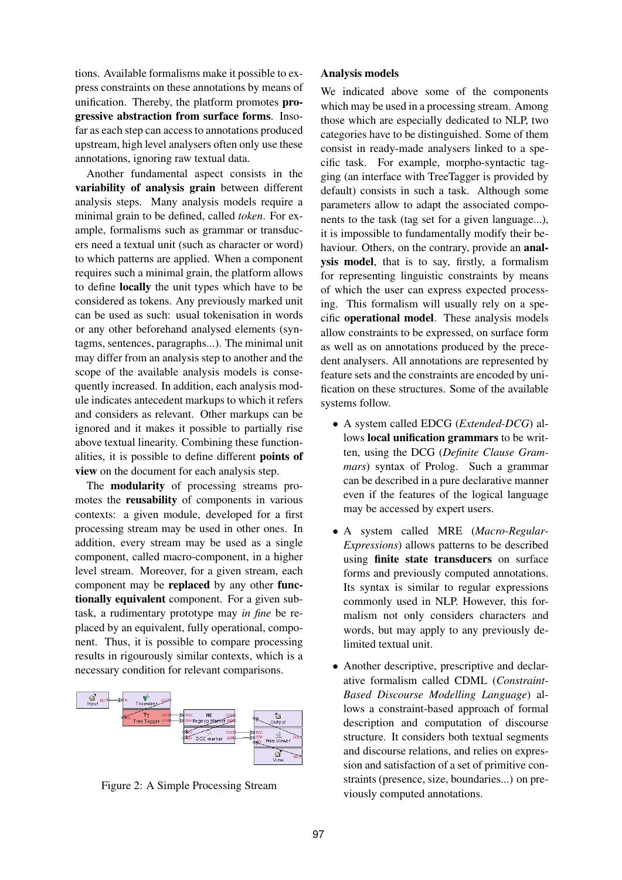tions. Available formalisms make it possible to express constraints on these annotations by means of unification. Thereby, the platform promotes progressive abstraction from surface forms. Insofar as each step can access to annotations produced upstream, high level analysers often only use these annotations, ignoring raw textual data.

Another fundamental aspect consists in the variability of analysis grain between different analysis steps. Many analysis models require a minimal grain to be defined, called *token*. For example, formalisms such as grammar or transducers need a textual unit (such as character or word) to which patterns are applied. When a component requires such a minimal grain, the platform allows to define locally the unit types which have to be considered as tokens. Any previously marked unit can be used as such: usual tokenisation in words or any other beforehand analysed elements (syntagms, sentences, paragraphs...). The minimal unit may differ from an analysis step to another and the scope of the available analysis models is consequently increased. In addition, each analysis module indicates antecedent markups to which it refers and considers as relevant. Other markups can be ignored and it makes it possible to partially rise above textual linearity. Combining these functionalities, it is possible to define different points of view on the document for each analysis step.

The modularity of processing streams promotes the reusability of components in various contexts: a given module, developed for a first processing stream may be used in other ones. In addition, every stream may be used as a single component, called macro-component, in a higher level stream. Moreover, for a given stream, each component may be replaced by any other functionally equivalent component. For a given subtask, a rudimentary prototype may *in fine* be replaced by an equivalent, fully operational, component. Thus, it is possible to compare processing results in rigourously similar contexts, which is a necessary condition for relevant comparisons.



Figure 2: A Simple Processing Stream

#### Analysis models

We indicated above some of the components which may be used in a processing stream. Among those which are especially dedicated to NLP, two categories have to be distinguished. Some of them consist in ready-made analysers linked to a specific task. For example, morpho-syntactic tagging (an interface with TreeTagger is provided by default) consists in such a task. Although some parameters allow to adapt the associated components to the task (tag set for a given language...), it is impossible to fundamentally modify their behaviour. Others, on the contrary, provide an analysis model, that is to say, firstly, a formalism for representing linguistic constraints by means of which the user can express expected processing. This formalism will usually rely on a specific operational model. These analysis models allow constraints to be expressed, on surface form as well as on annotations produced by the precedent analysers. All annotations are represented by feature sets and the constraints are encoded by unification on these structures. Some of the available systems follow.

- A system called EDCG (*Extended-DCG*) allows local unification grammars to be written, using the DCG (*Definite Clause Grammars*) syntax of Prolog. Such a grammar can be described in a pure declarative manner even if the features of the logical language may be accessed by expert users.
- A system called MRE (*Macro-Regular-Expressions*) allows patterns to be described using finite state transducers on surface forms and previously computed annotations. Its syntax is similar to regular expressions commonly used in NLP. However, this formalism not only considers characters and words, but may apply to any previously delimited textual unit.
- Another descriptive, prescriptive and declarative formalism called CDML (*Constraint-Based Discourse Modelling Language*) allows a constraint-based approach of formal description and computation of discourse structure. It considers both textual segments and discourse relations, and relies on expression and satisfaction of a set of primitive constraints (presence, size, boundaries...) on previously computed annotations.